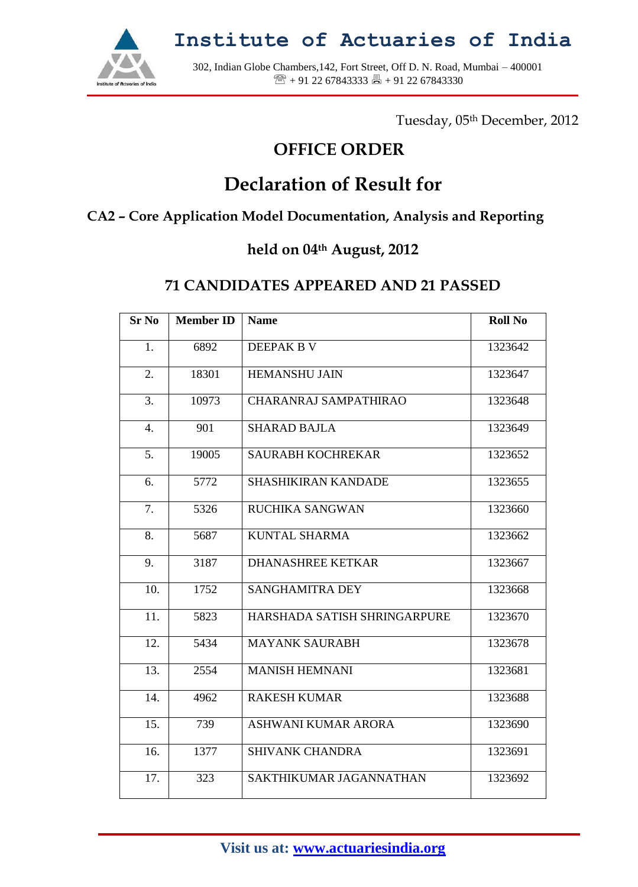

**Institute of Actuaries of India**

302, Indian Globe Chambers,142, Fort Street, Off D. N. Road, Mumbai – 400001  $\mathbb{R}$  + 91 22 67843333  $\mathbb{R}$  + 91 22 67843330

Tuesday, 05th December, 2012

### **OFFICE ORDER**

# **Declaration of Result for**

#### **CA2 – Core Application Model Documentation, Analysis and Reporting**

### **held on 04th August, 2012**

#### **71 CANDIDATES APPEARED AND 21 PASSED**

| <b>Sr No</b> | <b>Member ID</b> | <b>Name</b>                  | <b>Roll No</b> |
|--------------|------------------|------------------------------|----------------|
| 1.           | 6892             | <b>DEEPAK B V</b>            | 1323642        |
| 2.           | 18301            | <b>HEMANSHU JAIN</b>         | 1323647        |
| 3.           | 10973            | <b>CHARANRAJ SAMPATHIRAO</b> | 1323648        |
| 4.           | 901              | <b>SHARAD BAJLA</b>          | 1323649        |
| 5.           | 19005            | <b>SAURABH KOCHREKAR</b>     | 1323652        |
| 6.           | 5772             | <b>SHASHIKIRAN KANDADE</b>   | 1323655        |
| 7.           | 5326             | RUCHIKA SANGWAN              | 1323660        |
| 8.           | 5687             | <b>KUNTAL SHARMA</b>         | 1323662        |
| 9.           | 3187             | <b>DHANASHREE KETKAR</b>     | 1323667        |
| 10.          | 1752             | <b>SANGHAMITRA DEY</b>       | 1323668        |
| 11.          | 5823             | HARSHADA SATISH SHRINGARPURE | 1323670        |
| 12.          | 5434             | <b>MAYANK SAURABH</b>        | 1323678        |
| 13.          | 2554             | <b>MANISH HEMNANI</b>        | 1323681        |
| 14.          | 4962             | <b>RAKESH KUMAR</b>          | 1323688        |
| 15.          | 739              | ASHWANI KUMAR ARORA          | 1323690        |
| 16.          | 1377             | <b>SHIVANK CHANDRA</b>       | 1323691        |
| 17.          | 323              | SAKTHIKUMAR JAGANNATHAN      | 1323692        |